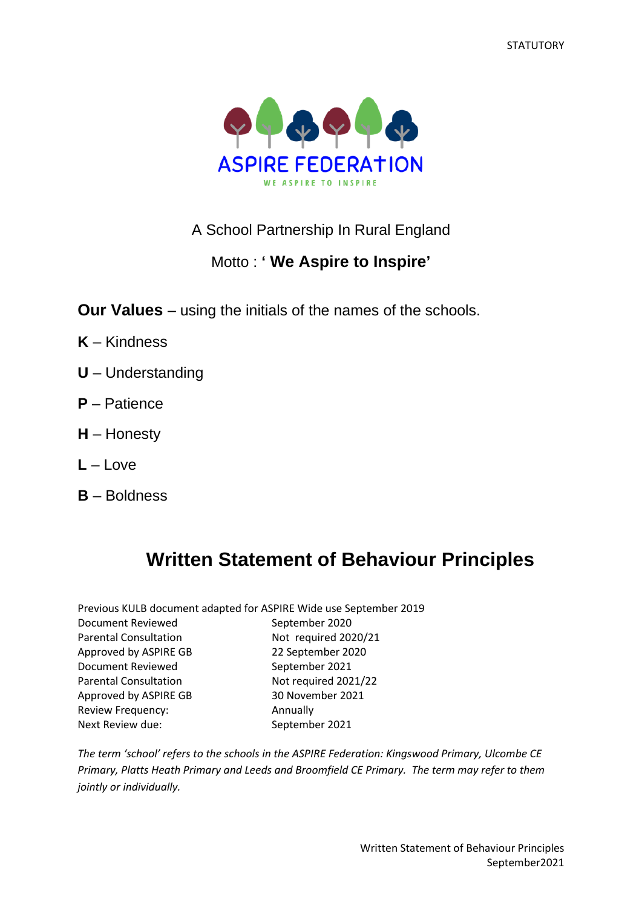**STATUTORY** 



# A School Partnership In Rural England

# Motto : **' We Aspire to Inspire'**

**Our Values** – using the initials of the names of the schools.

- **K** Kindness
- **U** Understanding
- **P** Patience
- **H** Honesty
- **L** Love
- **B** Boldness

# **Written Statement of Behaviour Principles**

| Previous KULB document adapted for ASPIRE Wide use September 2019 |                      |
|-------------------------------------------------------------------|----------------------|
| <b>Document Reviewed</b>                                          | September 2020       |
| <b>Parental Consultation</b>                                      | Not required 2020/21 |
| Approved by ASPIRE GB                                             | 22 September 2020    |
| <b>Document Reviewed</b>                                          | September 2021       |
| <b>Parental Consultation</b>                                      | Not required 2021/22 |
| Approved by ASPIRE GB                                             | 30 November 2021     |
| Review Frequency:                                                 | Annually             |
| Next Review due:                                                  | September 2021       |

*The term 'school' refers to the schools in the ASPIRE Federation: Kingswood Primary, Ulcombe CE Primary, Platts Heath Primary and Leeds and Broomfield CE Primary. The term may refer to them jointly or individually.*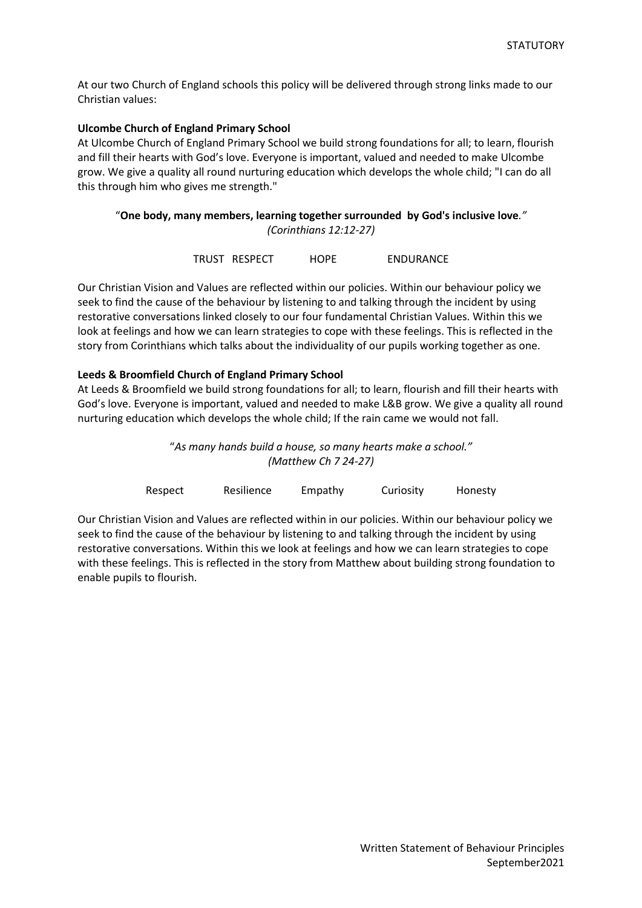At our two Church of England schools this policy will be delivered through strong links made to our Christian values:

## **Ulcombe Church of England Primary School**

At Ulcombe Church of England Primary School we build strong foundations for all; to learn, flourish and fill their hearts with God's love. Everyone is important, valued and needed to make Ulcombe grow. We give a quality all round nurturing education which develops the whole child; "I can do all this through him who gives me strength."

# "**One body, many members, learning together surrounded by God's inclusive love***." (Corinthians 12:12-27)*

| TRUST RESPECT | <b>HOPE</b> | <b>ENDURANCE</b> |
|---------------|-------------|------------------|
|               |             |                  |

Our Christian Vision and Values are reflected within our policies. Within our behaviour policy we seek to find the cause of the behaviour by listening to and talking through the incident by using restorative conversations linked closely to our four fundamental Christian Values. Within this we look at feelings and how we can learn strategies to cope with these feelings. This is reflected in the story from Corinthians which talks about the individuality of our pupils working together as one.

## **Leeds & Broomfield Church of England Primary School**

At Leeds & Broomfield we build strong foundations for all; to learn, flourish and fill their hearts with God's love. Everyone is important, valued and needed to make L&B grow. We give a quality all round nurturing education which develops the whole child; If the rain came we would not fall.

> "*As many hands build a house, so many hearts make a school." (Matthew Ch 7 24-27)*

| Respect | Resilience | Empathy | Curiosity | Honesty |
|---------|------------|---------|-----------|---------|
|---------|------------|---------|-----------|---------|

Our Christian Vision and Values are reflected within in our policies. Within our behaviour policy we seek to find the cause of the behaviour by listening to and talking through the incident by using restorative conversations. Within this we look at feelings and how we can learn strategies to cope with these feelings. This is reflected in the story from Matthew about building strong foundation to enable pupils to flourish.